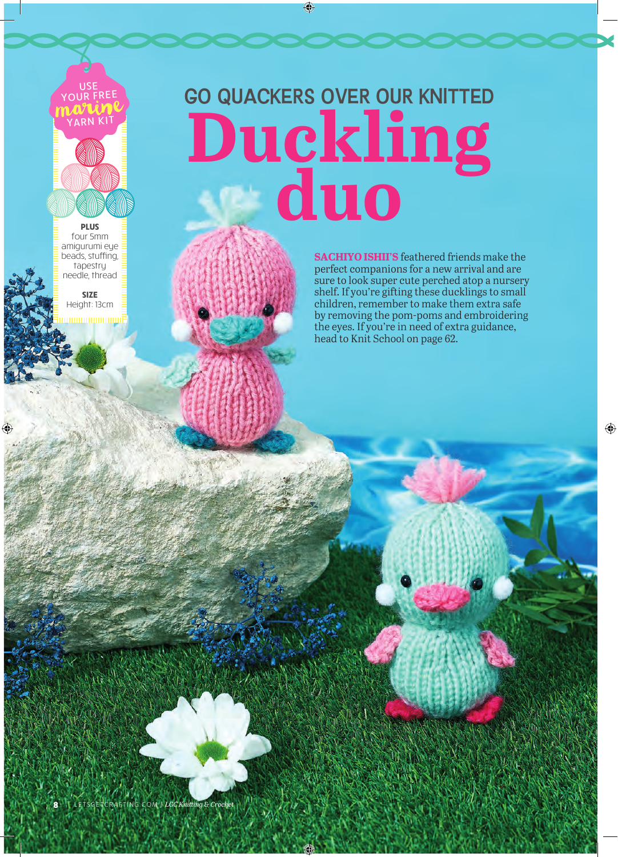

**PLUS** four 5mm amigurumi eye beads, stuffing, tapestry needle, thread

**SIZE** Height: 13cm <u>mmunimum</u> GO QUACKERS OVER OUR KNITTED **Duckling duo**

> **SACHIYO ISHII'S** feathered friends make the perfect companions for a new arrival and are sure to look super cute perched atop a nursery shelf. If you're gifting these ducklings to small children, remember to make them extra safe by removing the pom-poms and embroidering the eyes. If you're in need of extra guidance, head to Knit School on page 62.